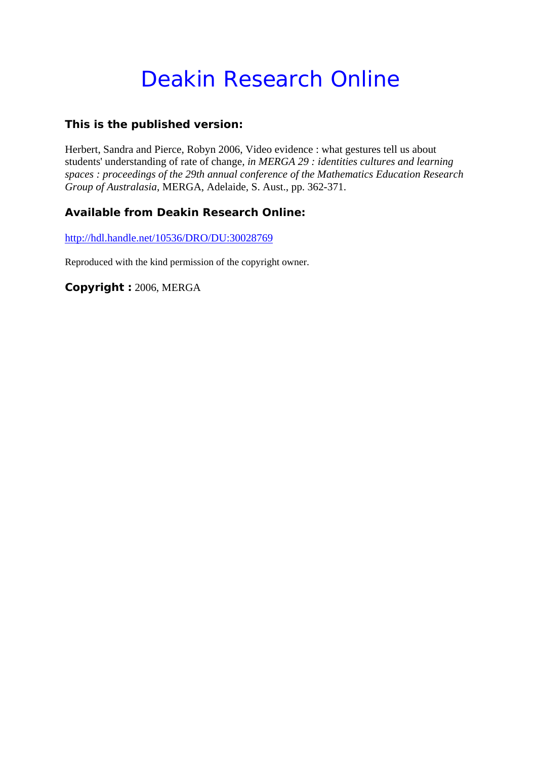# Deakin Research Online

### **This is the published version:**

Herbert, Sandra and Pierce, Robyn 2006, Video evidence : what gestures tell us about students' understanding of rate of change*, in MERGA 29 : identities cultures and learning spaces : proceedings of the 29th annual conference of the Mathematics Education Research Group of Australasia*, MERGA, Adelaide, S. Aust., pp. 362-371.

## **Available from Deakin Research Online:**

http://hdl.handle.net/10536/DRO/DU:30028769

Reproduced with the kind permission of the copyright owner.

**Copyright :** 2006, MERGA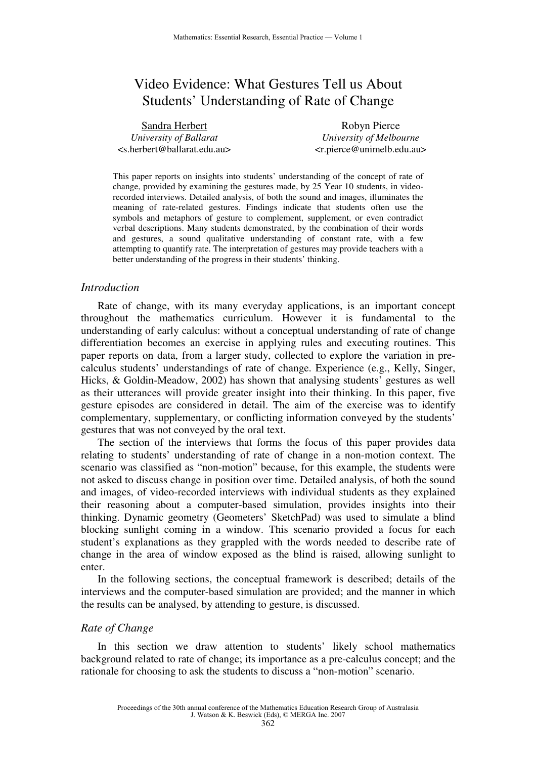# Video Evidence: What Gestures Tell us About Students' Understanding of Rate of Change

| Sandra Herbert                                          | Robyn Pierce                       |
|---------------------------------------------------------|------------------------------------|
| University of Ballarat                                  | University of Melbourne            |
| <s.herbert@ballarat.edu.au></s.herbert@ballarat.edu.au> | $\langle$ r.pierce@unimelb.edu.au> |

This paper reports on insights into students' understanding of the concept of rate of change, provided by examining the gestures made, by 25 Year 10 students, in videorecorded interviews. Detailed analysis, of both the sound and images, illuminates the meaning of rate-related gestures. Findings indicate that students often use the symbols and metaphors of gesture to complement, supplement, or even contradict verbal descriptions. Many students demonstrated, by the combination of their words and gestures, a sound qualitative understanding of constant rate, with a few attempting to quantify rate. The interpretation of gestures may provide teachers with a better understanding of the progress in their students' thinking.

#### *Introduction*

Rate of change, with its many everyday applications, is an important concept throughout the mathematics curriculum. However it is fundamental to the understanding of early calculus: without a conceptual understanding of rate of change differentiation becomes an exercise in applying rules and executing routines. This paper reports on data, from a larger study, collected to explore the variation in precalculus students' understandings of rate of change. Experience (e.g., Kelly, Singer, Hicks, & Goldin-Meadow, 2002) has shown that analysing students' gestures as well as their utterances will provide greater insight into their thinking. In this paper, five gesture episodes are considered in detail. The aim of the exercise was to identify complementary, supplementary, or conflicting information conveyed by the students' gestures that was not conveyed by the oral text.

The section of the interviews that forms the focus of this paper provides data relating to students' understanding of rate of change in a non-motion context. The scenario was classified as "non-motion" because, for this example, the students were not asked to discuss change in position over time. Detailed analysis, of both the sound and images, of video-recorded interviews with individual students as they explained their reasoning about a computer-based simulation, provides insights into their thinking. Dynamic geometry (Geometers' SketchPad) was used to simulate a blind blocking sunlight coming in a window. This scenario provided a focus for each student's explanations as they grappled with the words needed to describe rate of change in the area of window exposed as the blind is raised, allowing sunlight to enter.

In the following sections, the conceptual framework is described; details of the interviews and the computer-based simulation are provided; and the manner in which the results can be analysed, by attending to gesture, is discussed.

#### *Rate of Change*

In this section we draw attention to students' likely school mathematics background related to rate of change; its importance as a pre-calculus concept; and the rationale for choosing to ask the students to discuss a "non-motion" scenario.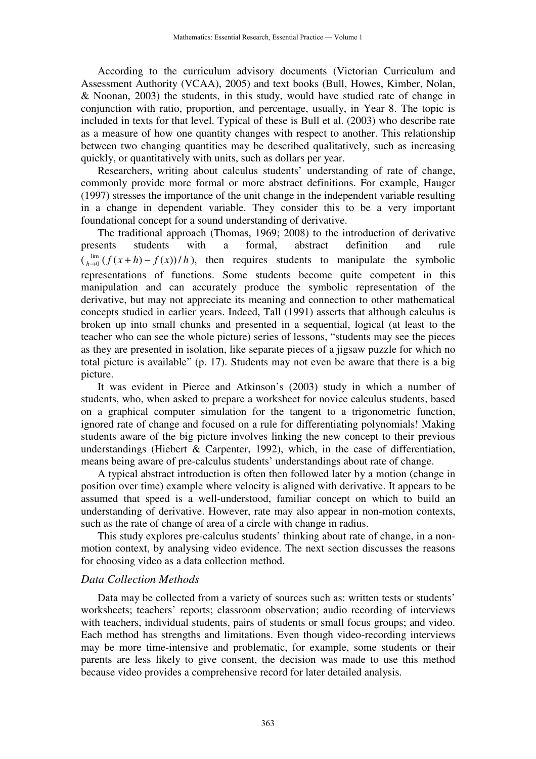According to the curriculum advisory documents (Victorian Curriculum and Assessment Authority (VCAA), 2005) and text books (Bull, Howes, Kimber, Nolan, & Noonan, 2003) the students, in this study, would have studied rate of change in conjunction with ratio, proportion, and percentage, usually, in Year 8. The topic is included in texts for that level. Typical of these is Bull et al. (2003) who describe rate as a measure of how one quantity changes with respect to another. This relationship between two changing quantities may be described qualitatively, such as increasing quickly, or quantitatively with units, such as dollars per year.

Researchers, writing about calculus students' understanding of rate of change, commonly provide more formal or more abstract definitions. For example, Hauger (1997) stresses the importance of the unit change in the independent variable resulting in a change in dependent variable. They consider this to be a very important foundational concept for a sound understanding of derivative.

The traditional approach (Thomas, 1969; 2008) to the introduction of derivative presents students with a formal, abstract definition and rule  $\int_{h\to 0}^{\text{lim}} (f(x+h)-f(x))/h$ , then requires students to manipulate the symbolic representations of functions. Some students become quite competent in this manipulation and can accurately produce the symbolic representation of the derivative, but may not appreciate its meaning and connection to other mathematical concepts studied in earlier years. Indeed, Tall (1991) asserts that although calculus is broken up into small chunks and presented in a sequential, logical (at least to the teacher who can see the whole picture) series of lessons, "students may see the pieces as they are presented in isolation, like separate pieces of a jigsaw puzzle for which no total picture is available" (p. 17). Students may not even be aware that there is a big picture.

It was evident in Pierce and Atkinson's (2003) study in which a number of students, who, when asked to prepare a worksheet for novice calculus students, based on a graphical computer simulation for the tangent to a trigonometric function, ignored rate of change and focused on a rule for differentiating polynomials! Making students aware of the big picture involves linking the new concept to their previous understandings (Hiebert & Carpenter, 1992), which, in the case of differentiation, means being aware of pre-calculus students' understandings about rate of change.

A typical abstract introduction is often then followed later by a motion (change in position over time) example where velocity is aligned with derivative. It appears to be assumed that speed is a well-understood, familiar concept on which to build an understanding of derivative. However, rate may also appear in non-motion contexts, such as the rate of change of area of a circle with change in radius.

This study explores pre-calculus students' thinking about rate of change, in a nonmotion context, by analysing video evidence. The next section discusses the reasons for choosing video as a data collection method.

#### *Data Collection Methods*

Data may be collected from a variety of sources such as: written tests or students' worksheets; teachers' reports; classroom observation; audio recording of interviews with teachers, individual students, pairs of students or small focus groups; and video. Each method has strengths and limitations. Even though video-recording interviews may be more time-intensive and problematic, for example, some students or their parents are less likely to give consent, the decision was made to use this method because video provides a comprehensive record for later detailed analysis.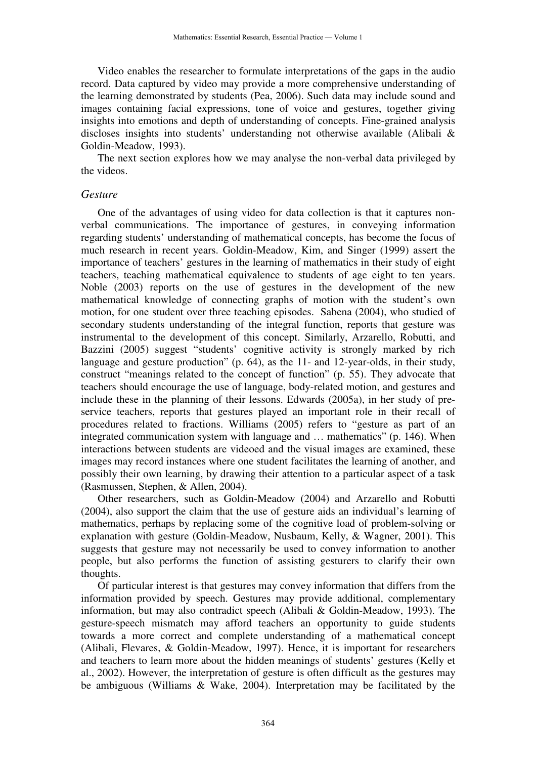Video enables the researcher to formulate interpretations of the gaps in the audio record. Data captured by video may provide a more comprehensive understanding of the learning demonstrated by students (Pea, 2006). Such data may include sound and images containing facial expressions, tone of voice and gestures, together giving insights into emotions and depth of understanding of concepts. Fine-grained analysis discloses insights into students' understanding not otherwise available (Alibali & Goldin-Meadow, 1993).

The next section explores how we may analyse the non-verbal data privileged by the videos.

#### *Gesture*

One of the advantages of using video for data collection is that it captures nonverbal communications. The importance of gestures, in conveying information regarding students' understanding of mathematical concepts, has become the focus of much research in recent years. Goldin-Meadow, Kim, and Singer (1999) assert the importance of teachers' gestures in the learning of mathematics in their study of eight teachers, teaching mathematical equivalence to students of age eight to ten years. Noble (2003) reports on the use of gestures in the development of the new mathematical knowledge of connecting graphs of motion with the student's own motion, for one student over three teaching episodes. Sabena (2004), who studied of secondary students understanding of the integral function, reports that gesture was instrumental to the development of this concept. Similarly, Arzarello, Robutti, and Bazzini (2005) suggest "students' cognitive activity is strongly marked by rich language and gesture production" (p. 64), as the 11- and 12-year-olds, in their study, construct "meanings related to the concept of function" (p. 55). They advocate that teachers should encourage the use of language, body-related motion, and gestures and include these in the planning of their lessons. Edwards (2005a), in her study of preservice teachers, reports that gestures played an important role in their recall of procedures related to fractions. Williams (2005) refers to "gesture as part of an integrated communication system with language and … mathematics" (p. 146). When interactions between students are videoed and the visual images are examined, these images may record instances where one student facilitates the learning of another, and possibly their own learning, by drawing their attention to a particular aspect of a task (Rasmussen, Stephen, & Allen, 2004).

Other researchers, such as Goldin-Meadow (2004) and Arzarello and Robutti (2004), also support the claim that the use of gesture aids an individual's learning of mathematics, perhaps by replacing some of the cognitive load of problem-solving or explanation with gesture (Goldin-Meadow, Nusbaum, Kelly, & Wagner, 2001). This suggests that gesture may not necessarily be used to convey information to another people, but also performs the function of assisting gesturers to clarify their own thoughts.

Of particular interest is that gestures may convey information that differs from the information provided by speech. Gestures may provide additional, complementary information, but may also contradict speech (Alibali & Goldin-Meadow, 1993). The gesture-speech mismatch may afford teachers an opportunity to guide students towards a more correct and complete understanding of a mathematical concept (Alibali, Flevares, & Goldin-Meadow, 1997). Hence, it is important for researchers and teachers to learn more about the hidden meanings of students' gestures (Kelly et al., 2002). However, the interpretation of gesture is often difficult as the gestures may be ambiguous (Williams & Wake, 2004). Interpretation may be facilitated by the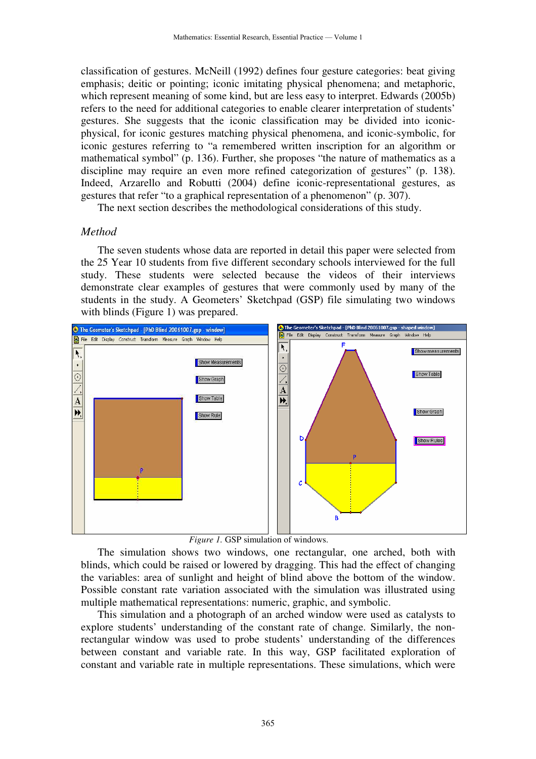classification of gestures. McNeill (1992) defines four gesture categories: beat giving emphasis; deitic or pointing; iconic imitating physical phenomena; and metaphoric, which represent meaning of some kind, but are less easy to interpret. Edwards (2005b) refers to the need for additional categories to enable clearer interpretation of students' gestures. She suggests that the iconic classification may be divided into iconicphysical, for iconic gestures matching physical phenomena, and iconic-symbolic, for iconic gestures referring to "a remembered written inscription for an algorithm or mathematical symbol" (p. 136). Further, she proposes "the nature of mathematics as a discipline may require an even more refined categorization of gestures" (p. 138). Indeed, Arzarello and Robutti (2004) define iconic-representational gestures, as gestures that refer "to a graphical representation of a phenomenon" (p. 307).

The next section describes the methodological considerations of this study.

#### *Method*

The seven students whose data are reported in detail this paper were selected from the 25 Year 10 students from five different secondary schools interviewed for the full study. These students were selected because the videos of their interviews demonstrate clear examples of gestures that were commonly used by many of the students in the study. A Geometers' Sketchpad (GSP) file simulating two windows with blinds (Figure 1) was prepared.



*Figure 1.* GSP simulation of windows.

The simulation shows two windows, one rectangular, one arched, both with blinds, which could be raised or lowered by dragging. This had the effect of changing the variables: area of sunlight and height of blind above the bottom of the window. Possible constant rate variation associated with the simulation was illustrated using multiple mathematical representations: numeric, graphic, and symbolic.

This simulation and a photograph of an arched window were used as catalysts to explore students' understanding of the constant rate of change. Similarly, the nonrectangular window was used to probe students' understanding of the differences between constant and variable rate. In this way, GSP facilitated exploration of constant and variable rate in multiple representations. These simulations, which were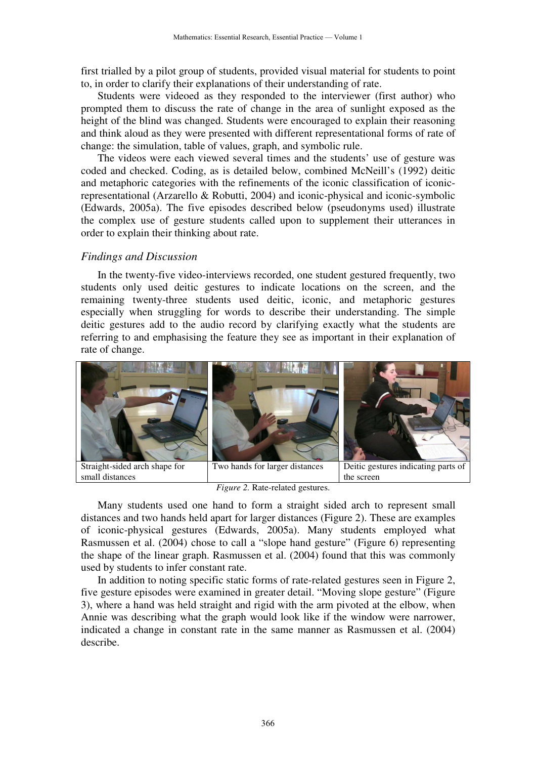first trialled by a pilot group of students, provided visual material for students to point to, in order to clarify their explanations of their understanding of rate.

Students were videoed as they responded to the interviewer (first author) who prompted them to discuss the rate of change in the area of sunlight exposed as the height of the blind was changed. Students were encouraged to explain their reasoning and think aloud as they were presented with different representational forms of rate of change: the simulation, table of values, graph, and symbolic rule.

The videos were each viewed several times and the students' use of gesture was coded and checked. Coding, as is detailed below, combined McNeill's (1992) deitic and metaphoric categories with the refinements of the iconic classification of iconicrepresentational (Arzarello & Robutti, 2004) and iconic-physical and iconic-symbolic (Edwards, 2005a). The five episodes described below (pseudonyms used) illustrate the complex use of gesture students called upon to supplement their utterances in order to explain their thinking about rate.

#### *Findings and Discussion*

In the twenty-five video-interviews recorded, one student gestured frequently, two students only used deitic gestures to indicate locations on the screen, and the remaining twenty-three students used deitic, iconic, and metaphoric gestures especially when struggling for words to describe their understanding. The simple deitic gestures add to the audio record by clarifying exactly what the students are referring to and emphasising the feature they see as important in their explanation of rate of change.



*Figure 2.* Rate-related gestures.

Many students used one hand to form a straight sided arch to represent small distances and two hands held apart for larger distances (Figure 2). These are examples of iconic-physical gestures (Edwards, 2005a). Many students employed what Rasmussen et al. (2004) chose to call a "slope hand gesture" (Figure 6) representing the shape of the linear graph. Rasmussen et al. (2004) found that this was commonly used by students to infer constant rate.

In addition to noting specific static forms of rate-related gestures seen in Figure 2, five gesture episodes were examined in greater detail. "Moving slope gesture" (Figure 3), where a hand was held straight and rigid with the arm pivoted at the elbow, when Annie was describing what the graph would look like if the window were narrower, indicated a change in constant rate in the same manner as Rasmussen et al. (2004) describe.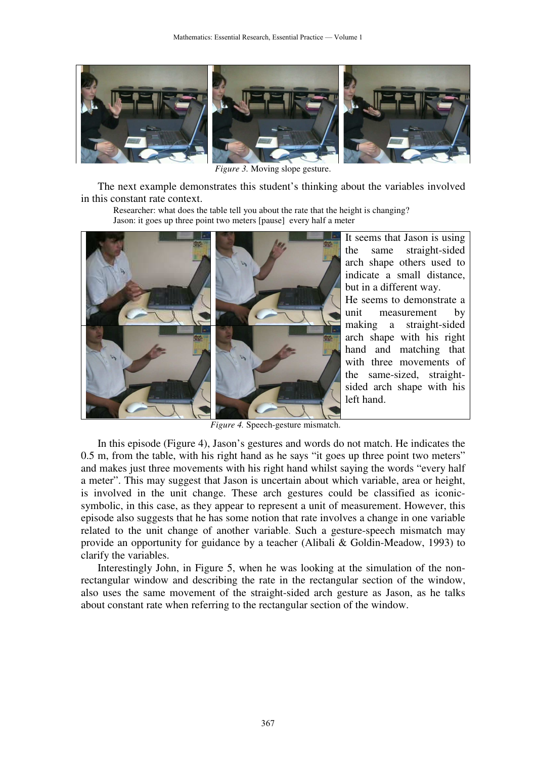

*Figure 3.* Moving slope gesture.

The next example demonstrates this student's thinking about the variables involved in this constant rate context.

Researcher: what does the table tell you about the rate that the height is changing? Jason: it goes up three point two meters [pause] every half a meter



It seems that Jason is using the same straight-sided arch shape others used to indicate a small distance, but in a different way. He seems to demonstrate a unit measurement by making a straight-sided arch shape with his right hand and matching that with three movements of the same-sized, straightsided arch shape with his left hand.

*Figure 4.* Speech-gesture mismatch.

In this episode (Figure 4), Jason's gestures and words do not match. He indicates the 0.5 m, from the table, with his right hand as he says "it goes up three point two meters" and makes just three movements with his right hand whilst saying the words "every half a meter". This may suggest that Jason is uncertain about which variable, area or height, is involved in the unit change. These arch gestures could be classified as iconicsymbolic, in this case, as they appear to represent a unit of measurement. However, this episode also suggests that he has some notion that rate involves a change in one variable related to the unit change of another variable. Such a gesture-speech mismatch may provide an opportunity for guidance by a teacher (Alibali & Goldin-Meadow, 1993) to clarify the variables.

Interestingly John, in Figure 5, when he was looking at the simulation of the nonrectangular window and describing the rate in the rectangular section of the window, also uses the same movement of the straight-sided arch gesture as Jason, as he talks about constant rate when referring to the rectangular section of the window.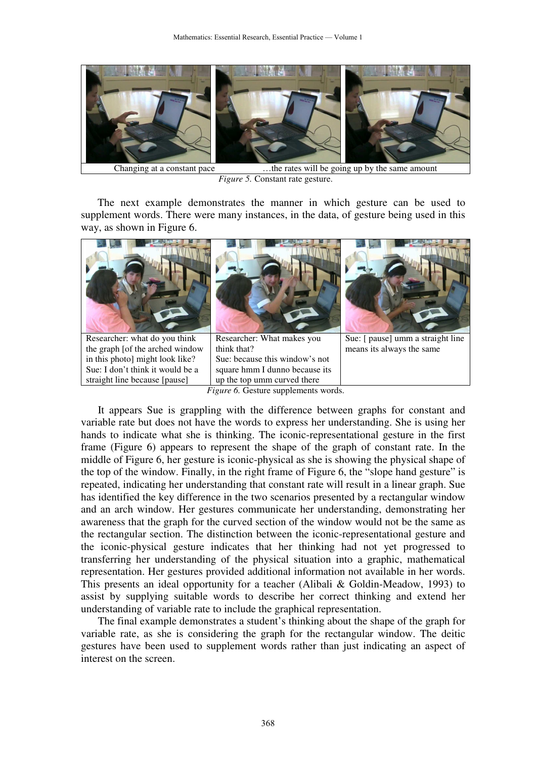

*Figure 5.* Constant rate gesture.

The next example demonstrates the manner in which gesture can be used to supplement words. There were many instances, in the data, of gesture being used in this way, as shown in Figure 6.



It appears Sue is grappling with the difference between graphs for constant and variable rate but does not have the words to express her understanding. She is using her hands to indicate what she is thinking. The iconic-representational gesture in the first frame (Figure 6) appears to represent the shape of the graph of constant rate. In the middle of Figure 6, her gesture is iconic-physical as she is showing the physical shape of the top of the window. Finally, in the right frame of Figure 6, the "slope hand gesture" is repeated, indicating her understanding that constant rate will result in a linear graph. Sue has identified the key difference in the two scenarios presented by a rectangular window and an arch window. Her gestures communicate her understanding, demonstrating her awareness that the graph for the curved section of the window would not be the same as the rectangular section. The distinction between the iconic-representational gesture and the iconic-physical gesture indicates that her thinking had not yet progressed to transferring her understanding of the physical situation into a graphic, mathematical representation. Her gestures provided additional information not available in her words. This presents an ideal opportunity for a teacher (Alibali & Goldin-Meadow, 1993) to assist by supplying suitable words to describe her correct thinking and extend her understanding of variable rate to include the graphical representation.

The final example demonstrates a student's thinking about the shape of the graph for variable rate, as she is considering the graph for the rectangular window. The deitic gestures have been used to supplement words rather than just indicating an aspect of interest on the screen.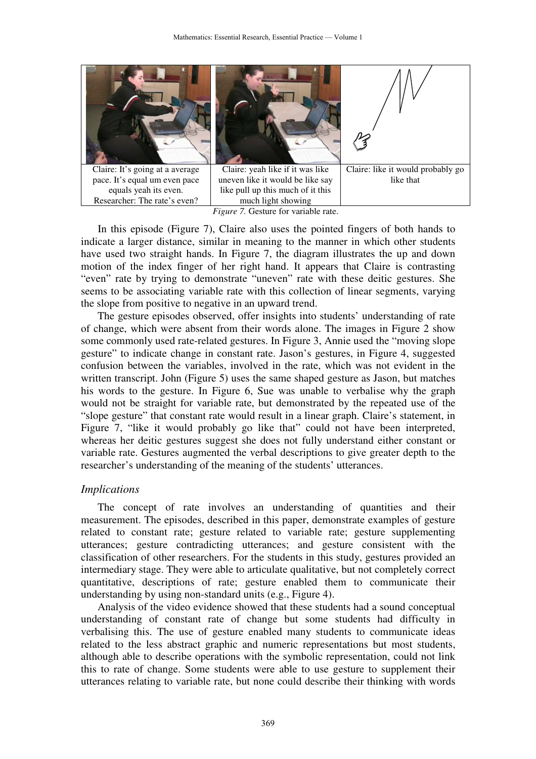

*Figure 7.* Gesture for variable rate.

In this episode (Figure 7), Claire also uses the pointed fingers of both hands to indicate a larger distance, similar in meaning to the manner in which other students have used two straight hands. In Figure 7, the diagram illustrates the up and down motion of the index finger of her right hand. It appears that Claire is contrasting "even" rate by trying to demonstrate "uneven" rate with these deitic gestures. She seems to be associating variable rate with this collection of linear segments, varying the slope from positive to negative in an upward trend.

The gesture episodes observed, offer insights into students' understanding of rate of change, which were absent from their words alone. The images in Figure 2 show some commonly used rate-related gestures. In Figure 3, Annie used the "moving slope gesture" to indicate change in constant rate. Jason's gestures, in Figure 4, suggested confusion between the variables, involved in the rate, which was not evident in the written transcript. John (Figure 5) uses the same shaped gesture as Jason, but matches his words to the gesture. In Figure 6, Sue was unable to verbalise why the graph would not be straight for variable rate, but demonstrated by the repeated use of the "slope gesture" that constant rate would result in a linear graph. Claire's statement, in Figure 7, "like it would probably go like that" could not have been interpreted, whereas her deitic gestures suggest she does not fully understand either constant or variable rate. Gestures augmented the verbal descriptions to give greater depth to the researcher's understanding of the meaning of the students' utterances.

#### *Implications*

The concept of rate involves an understanding of quantities and their measurement. The episodes, described in this paper, demonstrate examples of gesture related to constant rate; gesture related to variable rate; gesture supplementing utterances; gesture contradicting utterances; and gesture consistent with the classification of other researchers. For the students in this study, gestures provided an intermediary stage. They were able to articulate qualitative, but not completely correct quantitative, descriptions of rate; gesture enabled them to communicate their understanding by using non-standard units (e.g., Figure 4).

Analysis of the video evidence showed that these students had a sound conceptual understanding of constant rate of change but some students had difficulty in verbalising this. The use of gesture enabled many students to communicate ideas related to the less abstract graphic and numeric representations but most students, although able to describe operations with the symbolic representation, could not link this to rate of change. Some students were able to use gesture to supplement their utterances relating to variable rate, but none could describe their thinking with words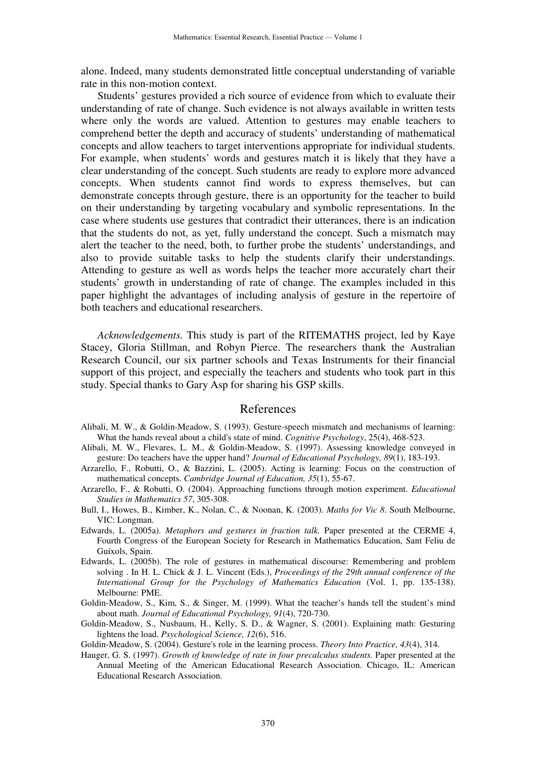alone. Indeed, many students demonstrated little conceptual understanding of variable rate in this non-motion context.

Students' gestures provided a rich source of evidence from which to evaluate their understanding of rate of change. Such evidence is not always available in written tests where only the words are valued. Attention to gestures may enable teachers to comprehend better the depth and accuracy of students' understanding of mathematical concepts and allow teachers to target interventions appropriate for individual students. For example, when students' words and gestures match it is likely that they have a clear understanding of the concept. Such students are ready to explore more advanced concepts. When students cannot find words to express themselves, but can demonstrate concepts through gesture, there is an opportunity for the teacher to build on their understanding by targeting vocabulary and symbolic representations. In the case where students use gestures that contradict their utterances, there is an indication that the students do not, as yet, fully understand the concept. Such a mismatch may alert the teacher to the need, both, to further probe the students' understandings, and also to provide suitable tasks to help the students clarify their understandings. Attending to gesture as well as words helps the teacher more accurately chart their students' growth in understanding of rate of change. The examples included in this paper highlight the advantages of including analysis of gesture in the repertoire of both teachers and educational researchers.

*Acknowledgements.* This study is part of the RITEMATHS project, led by Kaye Stacey, Gloria Stillman, and Robyn Pierce. The researchers thank the Australian Research Council, our six partner schools and Texas Instruments for their financial support of this project, and especially the teachers and students who took part in this study. Special thanks to Gary Asp for sharing his GSP skills.

#### References

- Alibali, M. W., & Goldin-Meadow, S. (1993). Gesture-speech mismatch and mechanisms of learning: What the hands reveal about a child's state of mind. *Cognitive Psychology*, 25(4), 468-523.
- Alibali, M. W., Flevares, L. M., & Goldin-Meadow, S. (1997). Assessing knowledge conveyed in gesture: Do teachers have the upper hand? *Journal of Educational Psychology, 89*(1), 183-193.
- Arzarello, F., Robutti, O., & Bazzini, L. (2005). Acting is learning: Focus on the construction of mathematical concepts. *Cambridge Journal of Education, 35*(1), 55-67.
- Arzarello, F., & Robutti, O. (2004). Approaching functions through motion experiment. *Educational Studies in Mathematics 57*, 305-308.
- Bull, I., Howes, B., Kimber, K., Nolan, C., & Noonan, K. (2003). *Maths for Vic 8*. South Melbourne, VIC: Longman.
- Edwards, L. (2005a). *Metaphors and gestures in fraction talk.* Paper presented at the CERME 4, Fourth Congress of the European Society for Research in Mathematics Education, Sant Feliu de Guíxols, Spain.
- Edwards, L. (2005b). The role of gestures in mathematical discourse: Remembering and problem solving . In H. L. Chick & J. L. Vincent (Eds.), *Proceedings of the 29th annual conference of the International Group for the Psychology of Mathematics Education* (Vol. 1, pp. 135-138). Melbourne: PME.
- Goldin-Meadow, S., Kim, S., & Singer, M. (1999). What the teacher's hands tell the student's mind about math. *Journal of Educational Psychology, 91*(4), 720-730.
- Goldin-Meadow, S., Nusbaum, H., Kelly, S. D., & Wagner, S. (2001). Explaining math: Gesturing lightens the load. *Psychological Science, 12*(6), 516.
- Goldin-Meadow, S. (2004). Gesture's role in the learning process. *Theory Into Practice, 43*(4), 314.
- Hauger, G. S. (1997). *Growth of knowledge of rate in four precalculus students.* Paper presented at the Annual Meeting of the American Educational Research Association. Chicago, IL: American Educational Research Association.